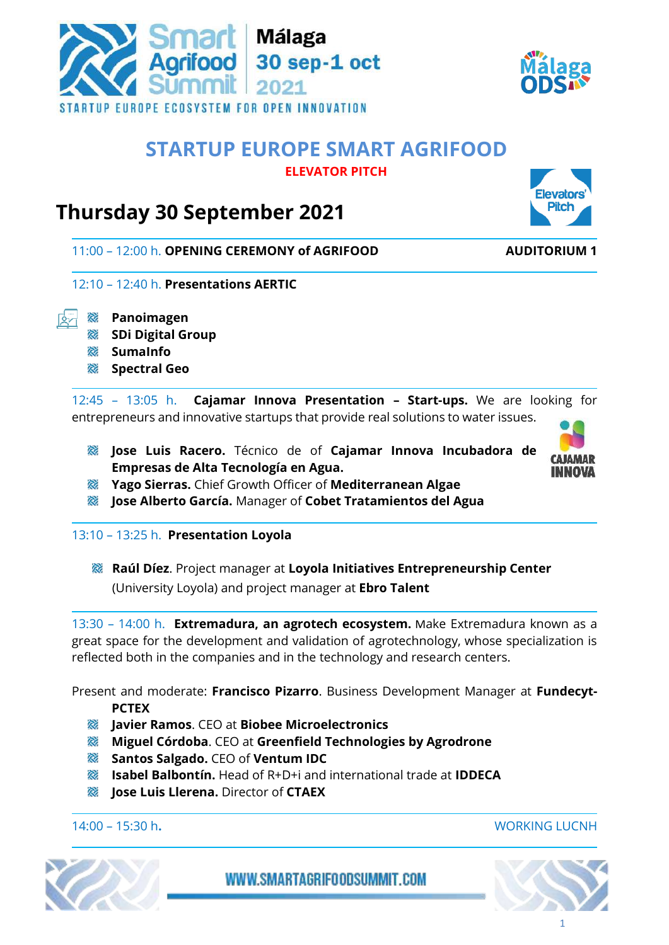

## WWW.SMARTAGRIFOODSUMMIT.COM



# **Thursday 30 September 2021**

11:00 – 12:00 h. **OPENING CEREMONY of AGRIFOOD AUDITORIUM 1**

- 12:10 12:40 h. **Presentations AERTIC**
- **Panoimagen**
	- **SDi Digital Group**
	- **SumaInfo**
	- **Spectral Geo**

12:45 – 13:05 h. **Cajamar Innova Presentation – Start-ups.** We are looking for entrepreneurs and innovative startups that provide real solutions to water issues.

- **Jose Luis Racero.** Técnico de of **Cajamar Innova Incubadora de Empresas de Alta Tecnología en Agua.**
- **Yago Sierras.** Chief Growth Officer of **Mediterranean Algae**
- **Jose Alberto García.** Manager of **Cobet Tratamientos del Agua**

### 13:10 – 13:25 h. **Presentation Loyola**

**Raúl Díez**. Project manager at **Loyola Initiatives Entrepreneurship Center** (University Loyola) and project manager at **Ebro Talent**

13:30 – 14:00 h. **Extremadura, an agrotech ecosystem.** Make Extremadura known as a great space for the development and validation of agrotechnology, whose specialization is reflected both in the companies and in the technology and research centers.

Present and moderate: **Francisco Pizarro**. Business Development Manager at **Fundecyt-PCTEX**

- **Javier Ramos**. CEO at **Biobee Microelectronics**
- **Miguel Córdoba**. CEO at **Greenfield Technologies by Agrodrone**
- **Santos Salgado.** CEO of **Ventum IDC**
- **Isabel Balbontín.** Head of R+D+i and international trade at **IDDECA**
- **Jose Luis Llerena.** Director of **CTAEX**

14:00 – 15:30 h**.** WORKING LUCNH







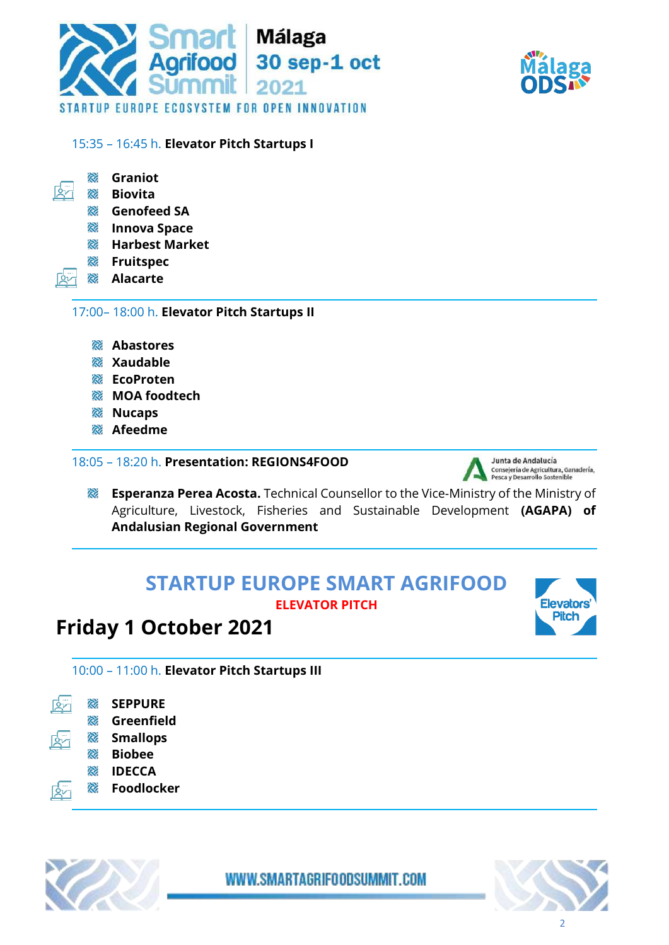



### 15:35 – 16:45 h. **Elevator Pitch Startups I**

| R. | Graniot |  |
|----|---------|--|
|----|---------|--|

- $\mathbb{R}^n$ 滚 **Biovita** 
	- **RE Genofeed SA**
	- **Innova Space**
	- **Harbest Market**
	- **Fruitspec**
	- **Alacarte**

17:00– 18:00 h. **Elevator Pitch Startups II**

- **Abastores**
- **Xaudable**
- **EcoProten**
- **MOA foodtech**
- **& Nucaps**
- **Afeedme**

### 18:05 – 18:20 h. **Presentation: REGIONS4FOOD**



**Esperanza Perea Acosta.** Technical Counsellor to the Vice-Ministry of the Ministry of Agriculture, Livestock, Fisheries and Sustainable Development **(AGAPA) of Andalusian Regional Government**

# **STARTUP EUROPE SMART AGRIFOOD ELEVATOR PITCH**





10:00 – 11:00 h. **Elevator Pitch Startups III**

**R SEPPURE** ঞি **RE Greenfield R Smallops** 滚 **Biobee** 滚 **IDECCA R Foodlocker**